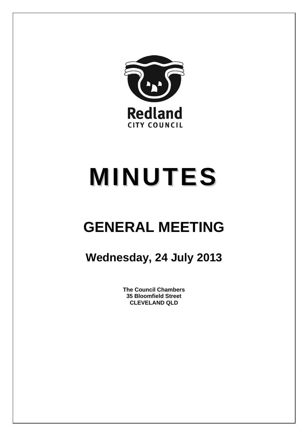

# **MINUTES**

## **GENERAL MEETING**

### **Wednesday, 24 July 2013**

**The Council Chambers 35 Bloomfield Street CLEVELAND QLD**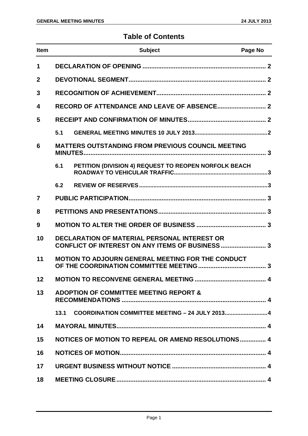#### **Table of Contents**

| <b>Item</b>    |                                                          | <b>Subject</b>                                        | Page No |  |
|----------------|----------------------------------------------------------|-------------------------------------------------------|---------|--|
| 1              |                                                          |                                                       |         |  |
| $\mathbf{2}$   |                                                          |                                                       |         |  |
| 3              |                                                          |                                                       |         |  |
| 4              |                                                          |                                                       |         |  |
| 5              |                                                          |                                                       |         |  |
|                | 5.1                                                      |                                                       |         |  |
| 6              | <b>MATTERS OUTSTANDING FROM PREVIOUS COUNCIL MEETING</b> |                                                       |         |  |
|                | 6.1                                                      | PETITION (DIVISION 4) REQUEST TO REOPEN NORFOLK BEACH |         |  |
|                | 6.2                                                      |                                                       |         |  |
| $\overline{7}$ |                                                          |                                                       |         |  |
| 8              |                                                          |                                                       |         |  |
| 9              |                                                          |                                                       |         |  |
| 10             | <b>DECLARATION OF MATERIAL PERSONAL INTEREST OR</b>      |                                                       |         |  |
| 11             | <b>MOTION TO ADJOURN GENERAL MEETING FOR THE CONDUCT</b> |                                                       |         |  |
| 12             |                                                          |                                                       |         |  |
| 13             | <b>ADOPTION OF COMMITTEE MEETING REPORT &amp;</b>        |                                                       |         |  |
|                | 13.1                                                     | COORDINATION COMMITTEE MEETING - 24 JULY 2013 4       |         |  |
| 14             |                                                          |                                                       |         |  |
| 15             |                                                          | NOTICES OF MOTION TO REPEAL OR AMEND RESOLUTIONS 4    |         |  |
| 16             |                                                          |                                                       |         |  |
| 17             |                                                          |                                                       |         |  |
| 18             |                                                          |                                                       |         |  |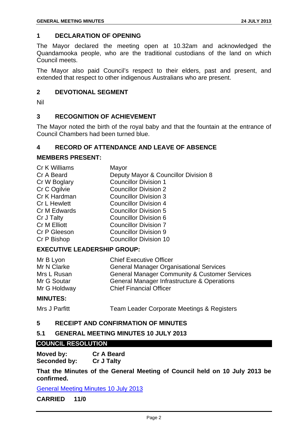#### **1 DECLARATION OF OPENING**

The Mayor declared the meeting open at 10.32am and acknowledged the Quandamooka people, who are the traditional custodians of the land on which Council meets.

The Mayor also paid Council's respect to their elders, past and present, and extended that respect to other indigenous Australians who are present.

#### **2 DEVOTIONAL SEGMENT**

Nil

#### **3 RECOGNITION OF ACHIEVEMENT**

The Mayor noted the birth of the royal baby and that the fountain at the entrance of Council Chambers had been turned blue.

#### **4 RECORD OF ATTENDANCE AND LEAVE OF ABSENCE**

#### **MEMBERS PRESENT:**

| Cr K Williams       | Mayor                                |
|---------------------|--------------------------------------|
| Cr A Beard          | Deputy Mayor & Councillor Division 8 |
| Cr W Boglary        | <b>Councillor Division 1</b>         |
| Cr C Ogilvie        | <b>Councillor Division 2</b>         |
| Cr K Hardman        | <b>Councillor Division 3</b>         |
| <b>Cr L Hewlett</b> | <b>Councillor Division 4</b>         |
| Cr M Edwards        | <b>Councillor Division 5</b>         |
| Cr J Talty          | <b>Councillor Division 6</b>         |
| Cr M Elliott        | <b>Councillor Division 7</b>         |
| Cr P Gleeson        | <b>Councillor Division 9</b>         |
| Cr P Bishop         | <b>Councillor Division 10</b>        |
|                     |                                      |

#### **EXECUTIVE LEADERSHIP GROUP:**

| Mr B Lyon    | <b>Chief Executive Officer</b>                           |
|--------------|----------------------------------------------------------|
| Mr N Clarke  | <b>General Manager Organisational Services</b>           |
| Mrs L Rusan  | <b>General Manager Community &amp; Customer Services</b> |
| Mr G Soutar  | General Manager Infrastructure & Operations              |
| Mr G Holdway | <b>Chief Financial Officer</b>                           |

#### **MINUTES:**

Mrs J Parfitt Team Leader Corporate Meetings & Registers

#### **5 RECEIPT AND CONFIRMATION OF MINUTES**

#### **5.1 GENERAL MEETING MINUTES 10 JULY 2013**

#### **COUNCIL RESOLUTION**

**Moved by: Cr A Beard Seconded by: Cr J Talty** 

**That the Minutes of the General Meeting of Council held on 10 July 2013 be confirmed.** 

General Meeting Minutes 10 July 2013

**CARRIED 11/0**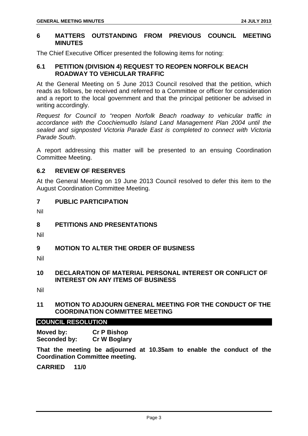#### **6 MATTERS OUTSTANDING FROM PREVIOUS COUNCIL MEETING MINUTES**

The Chief Executive Officer presented the following items for noting:

#### **6.1 PETITION (DIVISION 4) REQUEST TO REOPEN NORFOLK BEACH ROADWAY TO VEHICULAR TRAFFIC**

At the General Meeting on 5 June 2013 Council resolved that the petition, which reads as follows, be received and referred to a Committee or officer for consideration and a report to the local government and that the principal petitioner be advised in writing accordingly.

*Request for Council to "reopen Norfolk Beach roadway to vehicular traffic in accordance with the Coochiemudlo Island Land Management Plan 2004 until the sealed and signposted Victoria Parade East is completed to connect with Victoria Parade South.* 

A report addressing this matter will be presented to an ensuing Coordination Committee Meeting.

#### **6.2 REVIEW OF RESERVES**

At the General Meeting on 19 June 2013 Council resolved to defer this item to the August Coordination Committee Meeting.

#### **7 PUBLIC PARTICIPATION**

Nil

#### **8 PETITIONS AND PRESENTATIONS**

Nil

#### **9 MOTION TO ALTER THE ORDER OF BUSINESS**

Nil

#### **10 DECLARATION OF MATERIAL PERSONAL INTEREST OR CONFLICT OF INTEREST ON ANY ITEMS OF BUSINESS**

Nil

#### **11 MOTION TO ADJOURN GENERAL MEETING FOR THE CONDUCT OF THE COORDINATION COMMITTEE MEETING**

#### **COUNCIL RESOLUTION**

**Moved by: Cr P Bishop Seconded by: Cr W Boglary** 

**That the meeting be adjourned at 10.35am to enable the conduct of the Coordination Committee meeting.** 

**CARRIED 11/0**